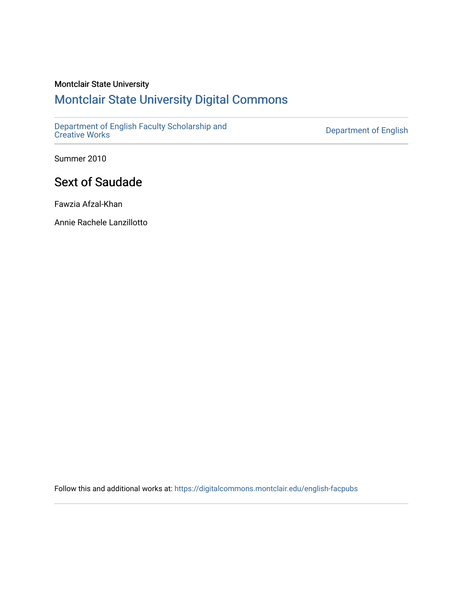## Montclair State University

# [Montclair State University Digital Commons](https://digitalcommons.montclair.edu/)

[Department of English Faculty Scholarship and](https://digitalcommons.montclair.edu/english-facpubs) [Creative Works](https://digitalcommons.montclair.edu/english-facpubs) [Department of English](https://digitalcommons.montclair.edu/english) 

Summer 2010

# Sext of Saudade

Fawzia Afzal-Khan

Annie Rachele Lanzillotto

Follow this and additional works at: [https://digitalcommons.montclair.edu/english-facpubs](https://digitalcommons.montclair.edu/english-facpubs?utm_source=digitalcommons.montclair.edu%2Fenglish-facpubs%2F69&utm_medium=PDF&utm_campaign=PDFCoverPages)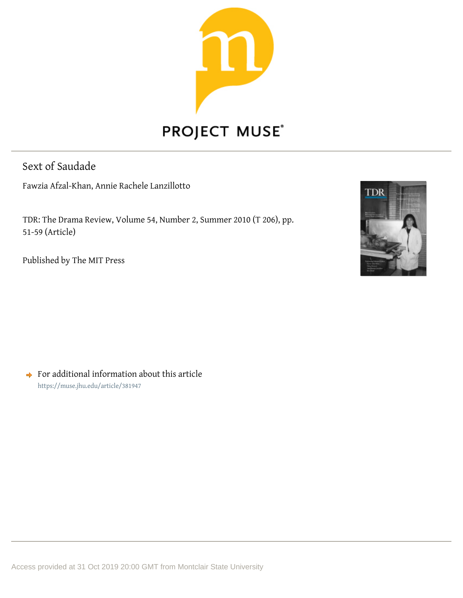

# Sext of Saudade

Fawzia Afzal-Khan, Annie Rachele Lanzillotto

TDR: The Drama Review, Volume 54, Number 2, Summer 2010 (T 206), pp. 51-59 (Article)

Published by The MIT Press



 $\rightarrow$  For additional information about this article <https://muse.jhu.edu/article/381947>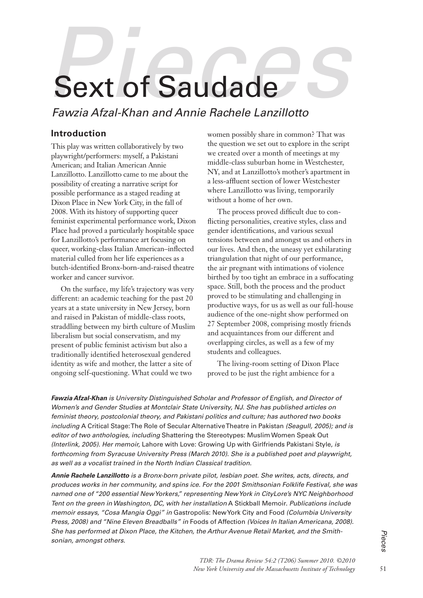# **Sext of Saudade**

 *Fawzia Afzal-Khan and Annie Rachele Lanzillotto*

#### **Introduction**

This play was written collaboratively by two playwright/performers: myself, a Pakistani American; and Italian American Annie Lanzillotto. Lanzillotto came to me about the possibility of creating a narrative script for possible performance as a staged reading at Dixon Place in New York City, in the fall of 2008. With its history of supporting queer feminist experimental performance work, Dixon Place had proved a particularly hospitable space for Lanzillotto's performance art focusing on queer, working-class Italian American–inflected material culled from her life experiences as a butch-identified Bronx-born-and-raised theatre worker and cancer survivor.

On the surface, my life's trajectory was very different: an academic teaching for the past 20 years at a state university in New Jersey, born and raised in Pakistan of middle-class roots, straddling between my birth culture of Muslim liberalism but social conservatism, and my present of public feminist activism but also a traditionally identified heterosexual gendered identity as wife and mother, the latter a site of ongoing self-questioning. What could we two

women possibly share in common? That was the question we set out to explore in the script we created over a month of meetings at my middle-class suburban home in Westchester, NY, and at Lanzillotto's mother's apartment in a less-affluent section of lower Westchester where Lanzillotto was living, temporarily without a home of her own.

The process proved difficult due to conflicting personalities, creative styles, class and gender identifications, and various sexual tensions between and amongst us and others in our lives. And then, the uneasy yet exhilarating triangulation that night of our performance, the air pregnant with intimations of violence birthed by too tight an embrace in a suffocating space. Still, both the process and the product proved to be stimulating and challenging in productive ways, for us as well as our full-house audience of the one-night show performed on 27 September 2008, comprising mostly friends and acquaintances from our different and overlapping circles, as well as a few of my students and colleagues.

The living-room setting of Dixon Place proved to be just the right ambience for a

*Fawzia Afzal-Khan is University Distinguished Scholar and Professor of English, and Director of Women's and Gender Studies at Montclair State University, NJ. She has published articles on feminist theory, postcolonial theory, and Pakistani politics and culture; has authored two books including* A Critical Stage: The Role of Secular Alternative Theatre in Pakistan *(Seagull, 2005); and is editor of two anthologies, including* Shattering the Stereotypes: Muslim Women Speak Out *(Interlink, 2005). Her memoir,* Lahore with Love: Growing Up with Girlfriends Pakistani Style, *is forthcoming from Syracuse University Press (March 2010). She is a published poet and playwright, as well as a vocalist trained in the North Indian Classical tradition.* 

*Annie Rachele Lanzillotto is a Bronx-born private pilot, lesbian poet. She writes, acts, directs, and produces works in her community, and spins ice. For the 2001 Smithsonian Folklife Festival, she was named one of "200 essential New Yorkers," representing New York in CityLore's NYC Neighborhood Tent on the green in Washington, DC, with her installation* A Stickball Memoir. *Publications include memoir essays, "Cosa Mangia Oggi" in* Gastropolis: New York City and Food *(Columbia University Press, 2008) and "Nine Eleven Breadballs" in* Foods of Affection *(Voices In Italian Americana, 2008). She has performed at Dixon Place, the Kitchen, the Arthur Avenue Retail Market, and the Smithsonian, amongst others.*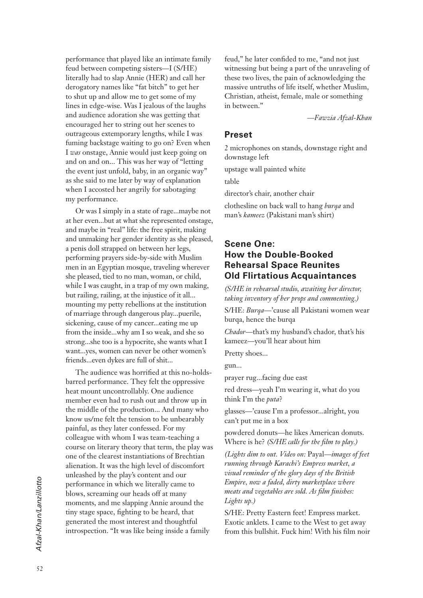performance that played like an intimate family feud between competing sisters—I (S/HE) literally had to slap Annie (HER) and call her derogatory names like "fat bitch" to get her to shut up and allow me to get some of my lines in edge-wise. Was I jealous of the laughs and audience adoration she was getting that encouraged her to string out her scenes to outrageous extemporary lengths, while I was fuming backstage waiting to go on? Even when I *was* onstage, Annie would just keep going on and on and on... This was her way of "letting the event just unfold, baby, in an organic way" as she said to me later by way of explanation when I accosted her angrily for sabotaging my performance.

Or was I simply in a state of rage...maybe not at her even...but at what she represented onstage, and maybe in "real" life: the free spirit, making and unmaking her gender identity as she pleased, a penis doll strapped on between her legs, performing prayers side-by-side with Muslim men in an Egyptian mosque, traveling wherever she pleased, tied to no man, woman, or child, while I was caught, in a trap of my own making, but railing, railing, at the injustice of it all... mounting my petty rebellions at the institution of marriage through dangerous play...puerile, sickening, cause of my cancer...eating me up from the inside...why am I so weak, and she so strong...she too is a hypocrite, she wants what I want...yes, women can never be other women's friends...even dykes are full of shit...

The audience was horrified at this no-holdsbarred performance. They felt the oppressive heat mount uncontrollably. One audience member even had to rush out and throw up in the middle of the production... And many who know us/me felt the tension to be unbearably painful, as they later confessed. For my colleague with whom I was team-teaching a course on literary theory that term, the play was one of the clearest instantiations of Brechtian alienation. It was the high level of discomfort unleashed by the play's content and our performance in which we literally came to blows, screaming our heads off at many moments, and me slapping Annie around the tiny stage space, fighting to be heard, that generated the most interest and thoughtful introspection. "It was like being inside a family

feud," he later confided to me, "and not just witnessing but being a part of the unraveling of these two lives, the pain of acknowledging the massive untruths of life itself, whether Muslim, Christian, atheist, female, male or something in between."

*—Fawzia Afzal-Khan*

#### **Preset**

2 microphones on stands, downstage right and downstage left

upstage wall painted white

table

director's chair, another chair

clothesline on back wall to hang *burqa* and man's *kameez* (Pakistani man's shirt)

#### **Scene One: How the Double-Booked Rehearsal Space Reunites Old Flirtatious Acquaintances**

*(S/HE in rehearsal studio, awaiting her director, taking inventory of her props and commenting.)* 

S/HE: *Burqa*—'cause all Pakistani women wear burqa, hence the burqa

*Chador*—that's my husband's chador, that's his kameez—you'll hear about him

Pretty shoes...

gun...

prayer rug...facing due east

red dress—yeah I'm wearing it, what do you think I'm the *puta*?

glasses—'cause I'm a professor...alright, you can't put me in a box

powdered donuts—he likes American donuts. Where is he? *(S/He calls for the film to play.)*

*(Lights dim to out. Video on:* Payal*—images of feet running through Karachi's Empress market, a visual reminder of the glory days of the British Empire, now a faded, dirty marketplace where meats and vegetables are sold. As film finishes: Lights up.)*

S/HE: Pretty Eastern feet! Empress market. Exotic anklets. I came to the West to get away from this bullshit. Fuck him! With his film noir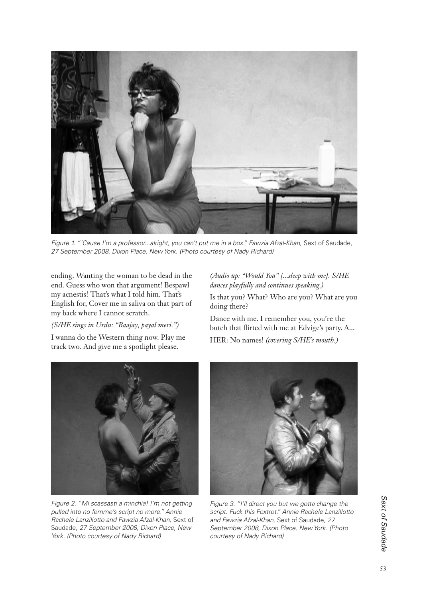

*Figure 1. "'Cause I'm a professor...alright, you can't put me in a box." Fawzia Afzal-Khan, Sext of Saudade, 27 September 2008, Dixon Place, New York. (Photo courtesy of Nady Richard)*

ending. Wanting the woman to be dead in the end. Guess who won that argument! Bespawl my acnestis! That's what I told him. That's English for, Cover me in saliva on that part of my back where I cannot scratch.

#### *(S/He sings in Urdu: "Baajay, payal meri.")*

I wanna do the Western thing now. Play me track two. And give me a spotlight please.

*(Audio up: "Would You" [...sleep with me]. S/He dances playfully and continues speaking.)*

Is that you? What? Who are you? What are you doing there?

Dance with me. I remember you, you're the butch that flirted with me at Edvige's party. A...

HER: No names! *(covering S/He's mouth.)*



*Figure 2. "Mi scassasti a minchia! I'm not getting pulled into no femme's script no more." Annie Rachele Lanzillotto and Fawzia Afzal-Khan,* Sext of Saudade, *27 September 2008, Dixon Place, New York. (Photo courtesy of Nady Richard)*



*Figure 3. "I'll direct you but we gotta change the script. Fuck this Foxtrot." Annie Rachele Lanzillotto and Fawzia Afzal-Khan,* Sext of Saudade, *27 September 2008, Dixon Place, New York. (Photo courtesy of Nady Richard)*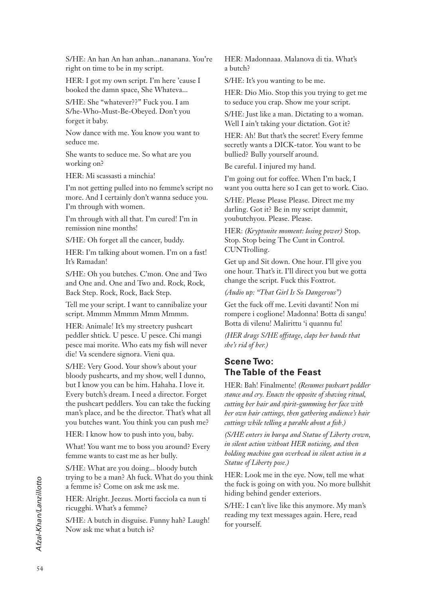S/HE: An han An han anhan...nananana. You're right on time to be in my script.

HER: I got my own script. I'm here 'cause I booked the damn space, She Whateva...

S/HE: She "whatever??" Fuck you. I am S/he-Who-Must-Be-Obeyed. Don't you forget it baby.

Now dance with me. You know you want to seduce me.

She wants to seduce me. So what are you working on?

HER: Mi scassasti a minchia!

I'm not getting pulled into no femme's script no more. And I certainly don't wanna seduce you. I'm through with women.

I'm through with all that. I'm cured! I'm in remission nine months!

S/HE: Oh forget all the cancer, buddy.

HER: I'm talking about women. I'm on a fast! It's Ramadan!

S/HE: Oh you butches. C'mon. One and Two and One and. One and Two and. Rock, Rock, Back Step. Rock, Rock, Back Step.

Tell me your script. I want to cannibalize your script. Mmmm Mmmm Mmm Mmmm.

HER: Animale! It's my streetcry pushcart peddler shtick. U pesce. U pesce. Chi mangi pesce mai morite. Who eats my fish will never die! Va scendere signora. Vieni qua.

S/HE: Very Good. Your show's about your bloody pushcarts, and my show, well I dunno, but I know you can be him. Hahaha. I love it. Every butch's dream. I need a director. Forget the pushcart peddlers. You can take the fucking man's place, and be the director. That's what all you butches want. You think you can push me?

HER: I know how to push into you, baby.

What! You want me to boss you around? Every femme wants to cast me as her bully.

S/HE: What are you doing... bloody butch trying to be a man? Ah fuck. What do you think a femme is? Come on ask me ask me.

HER: Alright. Jeezus. Morti facciola ca nun ti ricugghi. What's a femme?

S/HE: A butch in disguise. Funny hah? Laugh! Now ask me what a butch is?

HER: Madonnaaa. Malanova di tia. What's a butch?

S/HE: It's you wanting to be me.

HER: Dio Mio. Stop this you trying to get me to seduce you crap. Show me your script.

S/HE: Just like a man. Dictating to a woman. Well I ain't taking your dictation. Got it?

HER: Ah! But that's the secret! Every femme secretly wants a DICK-tator. You want to be bullied? Bully yourself around.

Be careful. I injured my hand.

I'm going out for coffee. When I'm back, I want you outta here so I can get to work. Ciao.

S/HE: Please Please Please. Direct me my darling. Got it? Be in my script dammit, youbutchyou. Please. Please.

HER: *(Kryptonite moment: losing power)* Stop. Stop. Stop being The Cunt in Control. CUNTrolling.

Get up and Sit down. One hour. I'll give you one hour. That's it. I'll direct you but we gotta change the script. Fuck this Foxtrot.

*(Audio up: "That Girl Is So Dangerous")*

Get the fuck off me. Leviti davanti! Non mi rompere i coglione! Madonna! Botta di sangu! Botta di vilenu! Malirittu 'i quannu fu!

*(HER drags S/HE offstage, claps her hands that she's rid of her.)*

#### **Scene Two: The Table of the Feast**

HER: Bah! Finalmente! *(Resumes pushcart peddler stance and cry. Enacts the opposite of shaving ritual, cutting her hair and spirit-gumming her face with her own hair cuttings, then gathering audience's hair cuttings while telling a parable about a fish.)*

*(S/HE enters in burqa and Statue of Liberty crown, in silent action without HER noticing, and then holding machine gun overhead in silent action in a Statue of Liberty pose.)*

HER: Look me in the eye. Now, tell me what the fuck is going on with you. No more bullshit hiding behind gender exteriors.

S/HE: I can't live like this anymore. My man's reading my text messages again. Here, read for yourself.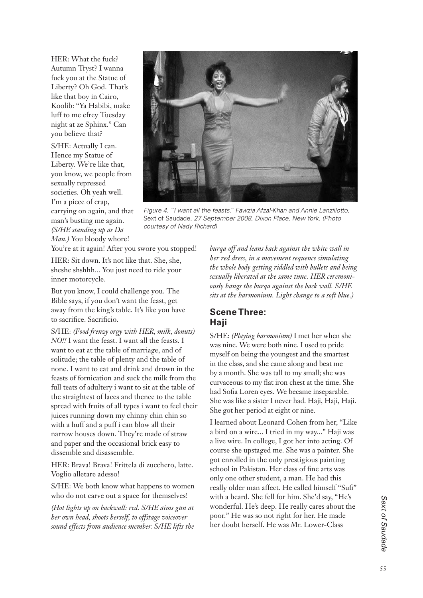HER: What the fuck? Autumn Tryst? I wanna fuck you at the Statue of Liberty? Oh God. That's like that boy in Cairo, Koolib: "Ya Habibi, make luff to me efrey Tuesday night at ze Sphinx." Can you believe that?

S/HE: Actually I can. Hence my Statue of Liberty. We're like that, you know, we people from sexually repressed societies. Oh yeah well. I'm a piece of crap, carrying on again, and that man's busting me again. *(S/HE standing up as Da Man.)* You bloody whore!



*Figure 4. "I want all the feasts." Fawzia Afzal-Khan and Annie Lanzillotto,*  Sext of Saudade, *27 September 2008, Dixon Place, New York. (Photo courtesy of Nady Richard)*

You're at it again! After you swore you stopped!

HER: Sit down. It's not like that. She, she, sheshe shshhh... You just need to ride your inner motorcycle.

But you know, I could challenge you. The Bible says, if you don't want the feast, get away from the king's table. It's like you have to sacrifice. Sacrificio.

S/HE: *(Food frenzy orgy with HER, milk, donuts) NO!!* I want the feast. I want all the feasts. I want to eat at the table of marriage, and of solitude; the table of plenty and the table of none. I want to eat and drink and drown in the feasts of fornication and suck the milk from the full teats of adultery i want to sit at the table of the straightest of laces and thence to the table spread with fruits of all types i want to feel their juices running down my chinny chin chin so with a huff and a puff i can blow all their narrow houses down. They're made of straw and paper and the occasional brick easy to dissemble and disassemble.

HER: Brava! Brava! Frittela di zucchero, latte. Voglio alletare adesso!

S/HE: We both know what happens to women who do not carve out a space for themselves!

*(Hot lights up on backwall: red. S/HE aims gun at her own head, shoots herself, to offstage voiceover sound effects from audience member. S/HE lifts the*  *burqa off and leans back against the white wall in her red dress, in a movement sequence simulating the whole body getting riddled with bullets and being sexually liberated at the same time. HER ceremoniously hangs the burqa against the back wall. S/HE sits at the harmonium. Light change to a soft blue.)*

#### **Scene Three: Haji**

S/HE: *(Playing harmonium)* I met her when she was nine. We were both nine. I used to pride myself on being the youngest and the smartest in the class, and she came along and beat me by a month. She was tall to my small; she was curvaceous to my flat iron chest at the time. She had Sofia Loren eyes. We became inseparable. She was like a sister I never had. Haji, Haji, Haji. She got her period at eight or nine.

I learned about Leonard Cohen from her, "Like a bird on a wire... I tried in my way..." Haji was a live wire. In college, I got her into acting. Of course she upstaged me. She was a painter. She got enrolled in the only prestigious painting school in Pakistan. Her class of fine arts was only one other student, a man. He had this really older man affect. He called himself "Sufi" with a beard. She fell for him. She'd say, "He's wonderful. He's deep. He really cares about the poor." He was so not right for her. He made her doubt herself. He was Mr. Lower-Class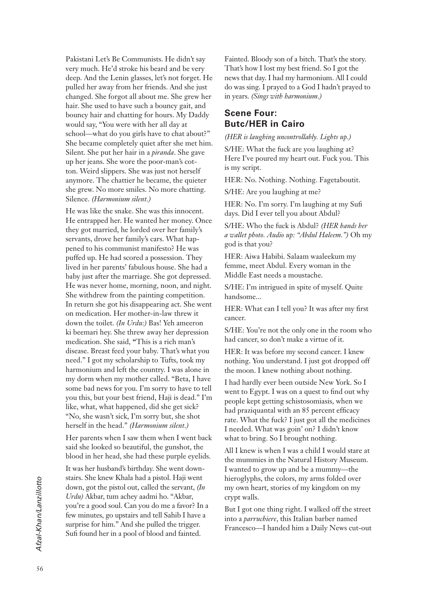Pakistani Let's Be Communists. He didn't say very much. He'd stroke his beard and be very deep. And the Lenin glasses, let's not forget. He pulled her away from her friends. And she just changed. She forgot all about me. She grew her hair. She used to have such a bouncy gait, and bouncy hair and chatting for hours. My Daddy would say, "You were with her all day at school—what do you girls have to chat about?" She became completely quiet after she met him. Silent. She put her hair in a *piranda*. She gave up her jeans. She wore the poor-man's cotton. Weird slippers. She was just not herself anymore. The chattier he became, the quieter she grew. No more smiles. No more chatting. Silence. *(Harmonium silent.)*

He was like the snake. She was this innocent. He entrapped her. He wanted her money. Once they got married, he lorded over her family's servants, drove her family's cars. What happened to his communist manifesto? He was puffed up. He had scored a possession. They lived in her parents' fabulous house. She had a baby just after the marriage. She got depressed. He was never home, morning, noon, and night. She withdrew from the painting competition. In return she got his disappearing act. She went on medication. Her mother-in-law threw it down the toilet. *(In Urdu:)* Bas! Yeh ameeron ki beemari hey. She threw away her depression medication. She said, **"**This is a rich man's disease. Breast feed your baby. That's what you need." I got my scholarship to Tufts, took my harmonium and left the country. I was alone in my dorm when my mother called. "Beta, I have some bad news for you. I'm sorry to have to tell you this, but your best friend, Haji is dead." I'm like, what, what happened, did she get sick? "No, she wasn't sick, I'm sorry but, she shot herself in the head." *(Harmonium silent.)*

Her parents when I saw them when I went back said she looked so beautiful, the gunshot, the blood in her head, she had these purple eyelids.

It was her husband's birthday. She went downstairs. She knew Khala had a pistol. Haji went down, got the pistol out, called the servant, *(In Urdu)* Akbar, tum achey aadmi ho. "Akbar, you're a good soul. Can you do me a favor? In a few minutes, go upstairs and tell Sahib I have a surprise for him." And she pulled the trigger. Sufi found her in a pool of blood and fainted.

Fainted. Bloody son of a bitch. That's the story. That's how I lost my best friend. So I got the news that day. I had my harmonium. All I could do was sing. I prayed to a God I hadn't prayed to in years. *(Sings with harmonium.)*

#### **Scene Four: Butc/HER in Cairo**

*(HER is laughing uncontrollably. Lights up.)*

S/HE: What the fuck are you laughing at? Here I've poured my heart out. Fuck you. This is my script.

HER: No. Nothing. Nothing. Fagetaboutit.

S/HE: Are you laughing at me?

HER: No. I'm sorry. I'm laughing at my Sufi days. Did I ever tell you about Abdul?

S/HE: Who the fuck is Abdul? *(HER hands her a wallet photo. Audio up: "Abdul Haleem.")* Oh my god is that you?

HER: Aiwa Habibi. Salaam waaleekum my femme, meet Abdul. Every woman in the Middle East needs a moustache.

S/HE: I'm intrigued in spite of myself. Quite handsome...

HER: What can I tell you? It was after my first cancer.

S/HE: You're not the only one in the room who had cancer, so don't make a virtue of it.

HER: It was before my second cancer. I knew nothing. You understand. I just got dropped off the moon. I knew nothing about nothing.

I had hardly ever been outside New York. So I went to Egypt. I was on a quest to find out why people kept getting schistosomiasis, when we had praziquantal with an 85 percent efficacy rate. What the fuck? I just got all the medicines I needed. What was goin' on? I didn't know what to bring. So I brought nothing.

All I knew is when I was a child I would stare at the mummies in the Natural History Museum. I wanted to grow up and be a mummy—the hieroglyphs, the colors, my arms folded over my own heart, stories of my kingdom on my crypt walls.

But I got one thing right. I walked off the street into a *parruchiere*, this Italian barber named Francesco—I handed him a Daily News cut-out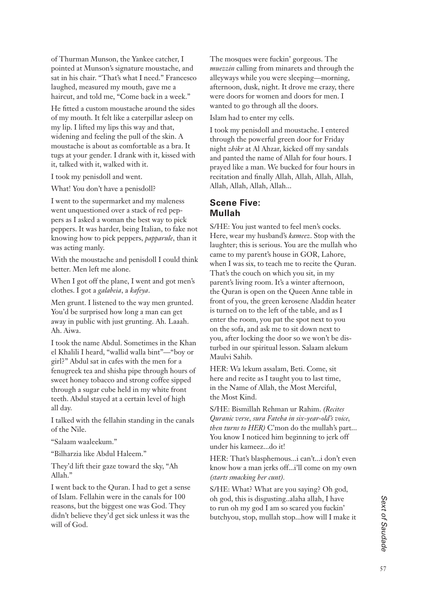of Thurman Munson, the Yankee catcher, I pointed at Munson's signature moustache, and sat in his chair. "That's what I need." Francesco laughed, measured my mouth, gave me a haircut, and told me, "Come back in a week."

He fitted a custom moustache around the sides of my mouth. It felt like a caterpillar asleep on my lip. I lifted my lips this way and that, widening and feeling the pull of the skin. A moustache is about as comfortable as a bra. It tugs at your gender. I drank with it, kissed with it, talked with it, walked with it.

I took my penisdoll and went.

What! You don't have a penisdoll?

I went to the supermarket and my maleness went unquestioned over a stack of red peppers as I asked a woman the best way to pick peppers. It was harder, being Italian, to fake not knowing how to pick peppers, *papparule*, than it was acting manly.

With the moustache and penisdoll I could think better. Men left me alone.

When I got off the plane, I went and got men's clothes. I got a *galabeia*, a *kafeya*.

Men grunt. I listened to the way men grunted. You'd be surprised how long a man can get away in public with just grunting. Ah. Laaah. Ah. Aiwa.

I took the name Abdul. Sometimes in the Khan el Khalili I heard, "wallid walla bint"—"boy or girl?" Abdul sat in cafes with the men for a fenugreek tea and shisha pipe through hours of sweet honey tobacco and strong coffee sipped through a sugar cube held in my white front teeth. Abdul stayed at a certain level of high all day.

I talked with the fellahin standing in the canals of the Nile.

"Salaam waaleekum."

"Bilharzia like Abdul Haleem."

They'd lift their gaze toward the sky, "Ah Allah."

I went back to the Quran. I had to get a sense of Islam. Fellahin were in the canals for 100 reasons, but the biggest one was God. They didn't believe they'd get sick unless it was the will of God.

The mosques were fuckin' gorgeous. The *muezzin* calling from minarets and through the alleyways while you were sleeping—morning, afternoon, dusk, night. It drove me crazy, there were doors for women and doors for men. I wanted to go through all the doors.

Islam had to enter my cells.

I took my penisdoll and moustache. I entered through the powerful green door for Friday night *zhikr* at Al Ahzar, kicked off my sandals and panted the name of Allah for four hours. I prayed like a man. We bucked for four hours in recitation and finally Allah, Allah, Allah, Allah, Allah, Allah, Allah, Allah...

#### **Scene Five: Mullah**

S/HE: You just wanted to feel men's cocks. Here, wear my husband's *kameez*. Stop with the laughter; this is serious. You are the mullah who came to my parent's house in GOR, Lahore, when I was six, to teach me to recite the Quran. That's the couch on which you sit, in my parent's living room. It's a winter afternoon, the Quran is open on the Queen Anne table in front of you, the green kerosene Aladdin heater is turned on to the left of the table, and as I enter the room, you pat the spot next to you on the sofa, and ask me to sit down next to you, after locking the door so we won't be disturbed in our spiritual lesson. Salaam alekum Maulvi Sahib.

HER: Wa lekum assalam, Beti. Come, sit here and recite as I taught you to last time, in the Name of Allah, the Most Merciful, the Most Kind.

S/HE: Bismillah Rehman ur Rahim. *(Recites Quranic verse, sura Fateha in six-year-old's voice, then turns to HER)* C'mon do the mullah's part... You know I noticed him beginning to jerk off under his kameez...do it!

HER: That's blasphemous...i can't...i don't even know how a man jerks off...i'll come on my own *(starts smacking her cunt).*

S/HE: What? What are you saying? Oh god, oh god, this is disgusting..alaha allah, I have to run oh my god I am so scared you fuckin' butchyou, stop, mullah stop...how will I make it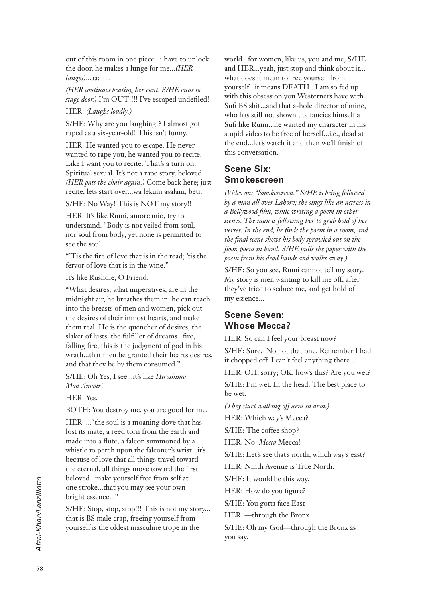out of this room in one piece...i have to unlock the door, he makes a lunge for me...*(HER lunges)*...aaah...

*(HER continues beating her cunt. S/HE runs to stage door.)* I'm OUT!!!! I've escaped undefiled!

#### HER: *(Laughs loudly.)*

S/HE: Why are you laughing!? I almost got raped as a six-year-old! This isn't funny.

HER: He wanted you to escape. He never wanted to rape you, he wanted you to recite. Like I want you to recite. That's a turn on. Spiritual sexual. It's not a rape story, beloved. *(HER pats the chair again.)* Come back here; just recite, lets start over...wa lekum asalam, beti.

S/HE: No Way! This is NOT my story!!

HER: It's like Rumi, amore mio, try to understand. "Body is not veiled from soul, nor soul from body, yet none is permitted to see the soul...

"'Tis the fire of love that is in the read; 'tis the fervor of love that is in the wine."

It's like Rushdie, O Friend.

"What desires, what imperatives, are in the midnight air, he breathes them in; he can reach into the breasts of men and women, pick out the desires of their inmost hearts, and make them real. He is the quencher of desires, the slaker of lusts, the fulfiller of dreams...fire, falling fire, this is the judgment of god in his wrath...that men be granted their hearts desires, and that they be by them consumed."

S/HE: Oh Yes, I see...it's like *Hiroshima Mon Amour*!

HER: Yes.

BOTH: You destroy me, you are good for me.

HER: ..."the soul is a moaning dove that has lost its mate, a reed torn from the earth and made into a flute, a falcon summoned by a whistle to perch upon the falconer's wrist...it's because of love that all things travel toward the eternal, all things move toward the first beloved...make yourself free from self at one stroke...that you may see your own bright essence..."

S/HE: Stop, stop, stop!!! This is not my story... that is BS male crap, freeing yourself from yourself is the oldest masculine trope in the

world...for women, like us, you and me, S/HE and HER...yeah, just stop and think about it... what does it mean to free yourself from yourself...it means DEATH...I am so fed up with this obsession you Westerners have with Sufi BS shit...and that a-hole director of mine, who has still not shown up, fancies himself a Sufi like Rumi...he wanted my character in his stupid video to be free of herself...i.e., dead at the end...let's watch it and then we'll finish off this conversation.

### **Scene Six: Smokescreen**

*(Video on: "Smokescreen." S/HE is being followed by a man all over Lahore; she sings like an actress in a Bollywood film, while writing a poem in other scenes. The man is following her to grab hold of her verses. In the end, he finds the poem in a room, and the final scene shows his body sprawled out on the floor, poem in hand. S/HE pulls the paper with the poem from his dead hands and walks away.)*

S/HE: So you see, Rumi cannot tell my story. My story is men wanting to kill me off, after they've tried to seduce me, and get hold of my essence...

#### **Scene Seven: Whose Mecca?**

HER: So can I feel your breast now?

S/HE: Sure. No not that one. Remember I had it chopped off. I can't feel anything there...

HER: OH; sorry; OK, how's this? Are you wet?

S/HE: I'm wet. In the head. The best place to be wet.

*(They start walking off arm in arm.)*

HER: Which way's Mecca?

S/HE: The coffee shop?

HER: No! *Mecca* Mecca!

S/HE: Let's see that's north, which way's east?

HER: Ninth Avenue is True North.

S/HE: It would be this way.

HER: How do you figure?

S/HE: You gotta face East—

HER: —through the Bronx

S/HE: Oh my God—through the Bronx as you say.